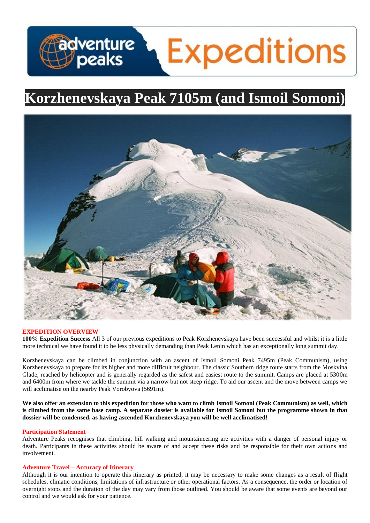# adventure **Expeditions**

# **Korzhenevskaya Peak 7105m (and Ismoil Somoni)**



# **EXPEDITION OVERVIEW**

**100% Expedition Success** All 3 of our previous expeditions to Peak Korzhenevskaya have been successful and whilst it is a little more technical we have found it to be less physically demanding than Peak Lenin which has an exceptionally long summit day.

Korzhenevskaya can be climbed in conjunction with an ascent of Ismoil Somoni Peak 7495m (Peak Communism), using Korzhenevskaya to prepare for its higher and more difficult neighbour. The classic Southern ridge route starts from the Moskvina Glade, reached by helicopter and is generally regarded as the safest and easiest route to the summit. Camps are placed at 5300m and 6400m from where we tackle the summit via a narrow but not steep ridge. To aid our ascent and the move between camps we will acclimatise on the nearby Peak Vorobyova (5691m).

**We also offer an extension to this expedition for those who want to climb Ismoil Somoni (Peak Communism) as well, which is climbed from the same base camp. A separate dossier is available for Ismoil Somoni but the programme shown in that dossier will be condensed, as having ascended Korzhenevskaya you will be well acclimatised!**

# **Participation Statement**

Adventure Peaks recognises that climbing, hill walking and mountaineering are activities with a danger of personal injury or death. Participants in these activities should be aware of and accept these risks and be responsible for their own actions and involvement.

# **Adventure Travel – Accuracy of Itinerary**

Although it is our intention to operate this itinerary as printed, it may be necessary to make some changes as a result of flight schedules, climatic conditions, limitations of infrastructure or other operational factors. As a consequence, the order or location of overnight stops and the duration of the day may vary from those outlined. You should be aware that some events are beyond our control and we would ask for your patience.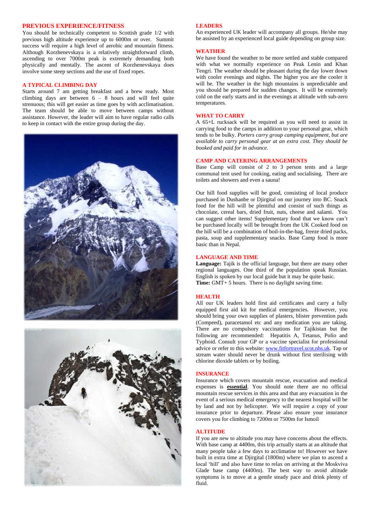# **PREVIOUS EXPERIENCE/FITNESS**

You should be technically competent to Scottish grade 1/2 with previous high altitude experience up to 6000m or over. Summit success will require a high level of aerobic and mountain fitness. Although Korzhenevskaya is a relatively straightforward climb, ascending to over 7000m peak is extremely demanding both physically and mentally. The ascent of Korzhenevskaya does involve some steep sections and the use of fixed ropes.

#### **A TYPICAL CLIMBING DAY**

Starts around 7 am getting breakfast and a brew ready. Most climbing days are between 6 – 8 hours and will feel quite strenuous; this will get easier as time goes by with acclimatisation. The team should be able to move between camps without assistance. However, the leader will aim to have regular radio calls to keep in contact with the entire group during the day.





#### **LEADERS**

An experienced UK leader will accompany all groups. He/she may be assisted by an experienced local guide depending on group size.

### **WEATHER**

We have found the weather to be more settled and stable compared with what we normally experience on Peak Lenin and Khan Tengri. The weather should be pleasant during the day lower down with cooler evenings and nights. The higher you are the cooler it will be. The weather in the high mountains is unpredictable and you should be prepared for sudden changes. It will be extremely cold on the early starts and in the evenings at altitude with sub-zero temperatures.

#### **WHAT TO CARRY**

A 65+L rucksack will be required as you will need to assist in carrying food to the camps in addition to your personal gear, which tends to be bulky. *Porters carry group camping equipment, but are available to carry personal gear at an extra cost. They should be booked and paid for in advance.*

### **CAMP AND CATERING ARRANGEMENTS**

Base Camp will consist of 2 to 3 person tents and a large communal tent used for cooking, eating and socialising. There are toilets and showers and even a sauna!

Our hill food supplies will be good, consisting of local produce purchased in Dushanbe or Djirgital on our journey into BC. Snack food for the hill will be plentiful and consist of such things as chocolate, cereal bars, dried fruit, nuts, cheese and salami. You can suggest other items! Supplementary food that we know can't be purchased locally will be brought from the UK Cooked food on the hill will be a combination of boil-in-the-bag, freeze dried packs, pasta, soup and supplementary snacks. Base Camp food is more basic than in Nepal.

### **LANGUAGE AND TIME**

**Language:** Tajik is the official language, but there are many other regional languages. One third of the population speak Russian. English is spoken by our local guide but it may be quite basic. **Time:** GMT+ 5 hours. There is no daylight saving time.

# **HEALTH**

All our UK leaders hold first aid certificates and carry a fully equipped first aid kit for medical emergencies. However, you should bring your own supplies of plasters, blister prevention pads (Compeed), paracetamol etc and any medication you are taking. There are no compulsory vaccinations for Tajikistan but the following are recommended: Hepatitis A, Tetanus, Polio and Typhoid. Consult your GP or a vaccine specialist for professional advice or refer to this website[: www.fitfortravel.scot.nhs.uk.](http://www.fitfortravel.scot.nhs.uk/) Tap or stream water should never be drunk without first sterilising with chlorine dioxide tablets or by boiling.

#### **INSURANCE**

Insurance which covers mountain rescue, evacuation and medical expenses is **essential**. You should note there are no official mountain rescue services in this area and that any evacuation in the event of a serious medical emergency to the nearest hospital will be by land and not by helicopter. We will require a copy of your insurance prior to departure. Please also ensure your insurance covers you for climbing to 7200m or 7500m for Ismoil

#### **ALTITUDE**

If you are new to altitude you may have concerns about the effects. With base camp at 4400m, this trip actually starts at an altitude that many people take a few days to acclimatise to! However we have built in extra time at Djirgital (1800m) where we plan to ascend a local 'hill' and also have time to relax on arriving at the Moskviva Glade base camp (4400m). The best way to avoid altitude symptoms is to move at a gentle steady pace and drink plenty of fluid.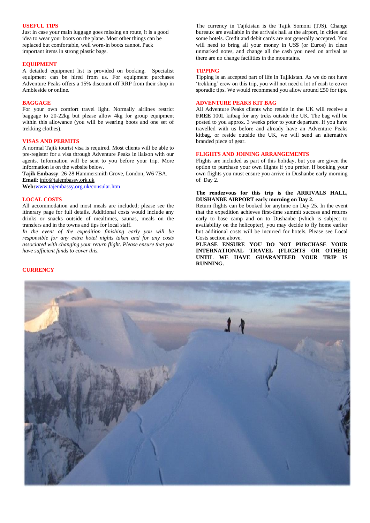# **USEFUL TIPS**

Just in case your main luggage goes missing en route, it is a good idea to wear your boots on the plane. Most other things can be replaced but comfortable, well worn-in boots cannot. Pack important items in strong plastic bags.

#### **EQUIPMENT**

A detailed equipment list is provided on booking. Specialist equipment can be hired from us. For equipment purchases Adventure Peaks offers a 15% discount off RRP from their shop in Ambleside or online.

## **BAGGAGE**

For your own comfort travel light. Normally airlines restrict baggage to 20-22kg but please allow 4kg for group equipment within this allowance (you will be wearing boots and one set of trekking clothes).

## **VISAS AND PERMITS**

A normal Tajik tourist visa is required. Most clients will be able to pre-register for a visa through Adventure Peaks in liaison with our agents. Information will be sent to you before your trip. More information is on the website below.

**Tajik Embassy**: 26-28 Hammersmith Grove, London, W6 7BA. **Email**: [info@tajembassy.ork.uk](mailto:info@tajembassy.ork.uk) **Web:**[www.tajembassy.org.uk/consular.htm](http://www.tajembassy.org.uk/consular.htm)

#### **LOCAL COSTS**

All accommodation and most meals are included; please see the itinerary page for full details. Additional costs would include any drinks or snacks outside of mealtimes, saunas, meals on the transfers and in the towns and tips for local staff.

*In the event of the expedition finishing early you will be responsible for any extra hotel nights taken and for any costs associated with changing your return flight. Please ensure that you have sufficient funds to cover this.* 

The currency in Tajikistan is the Tajik Somoni (TJS). Change bureaux are available in the arrivals hall at the airport, in cities and some hotels. Credit and debit cards are not generally accepted. You will need to bring all your money in US\$ (or Euros) in clean unmarked notes, and change all the cash you need on arrival as there are no change facilities in the mountains.

#### **TIPPING**

Tipping is an accepted part of life in Tajikistan. As we do not have 'trekking' crew on this trip, you will not need a lot of cash to cover sporadic tips. We would recommend you allow around £50 for tips.

#### **ADVENTURE PEAKS KIT BAG**

All Adventure Peaks clients who reside in the UK will receive a **FREE** 100L kitbag for any treks outside the UK. The bag will be posted to you approx. 3 weeks prior to your departure. If you have travelled with us before and already have an Adventure Peaks kitbag, or reside outside the UK, we will send an alternative branded piece of gear.

# **FLIGHTS AND JOINING ARRANGEMENTS**

Flights are included as part of this holiday, but you are given the option to purchase your own flights if you prefer. If booking your own flights you must ensure you arrive in Dushanbe early morning of Day 2.

# **The rendezvous for this trip is the ARRIVALS HALL, DUSHANBE AIRPORT early morning on Day 2.**

Return flights can be booked for anytime on Day 25. In the event that the expedition achieves first-time summit success and returns early to base camp and on to Dushanbe (which is subject to availability on the helicopter), you may decide to fly home earlier but additional costs will be incurred for hotels. Please see Local Costs section above.

**PLEASE ENSURE YOU DO NOT PURCHASE YOUR INTERNATIONAL TRAVEL (FLIGHTS OR OTHER) UNTIL WE HAVE GUARANTEED YOUR TRIP IS RUNNING.**



#### **CURRENCY**